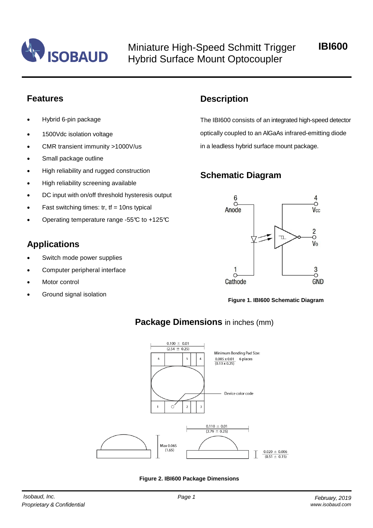

Miniature High-Speed Schmitt Trigger Hybrid Surface Mount Optocoupler

**IBI600**

## **Features**

- Hybrid 6-pin package
- 1500Vdc isolation voltage
- CMR transient immunity >1000V/us
- Small package outline
- High reliability and rugged construction
- High reliability screening available
- DC input with on/off threshold hysteresis output
- Fast switching times:  $tr$ ,  $tf = 10$ ns typical
- Operating temperature range -55°C to +125°C

# **Applications**

- Switch mode power supplies
- Computer peripheral interface
- Motor control
- Ground signal isolation

# **Description**

The IBI600 consists of an integrated high-speed detector optically coupled to an AlGaAs infrared-emitting diode in a leadless hybrid surface mount package.

# **Schematic Diagram**



**Figure 1. IBI600 Schematic Diagram**



# **Package Dimensions** in inches (mm)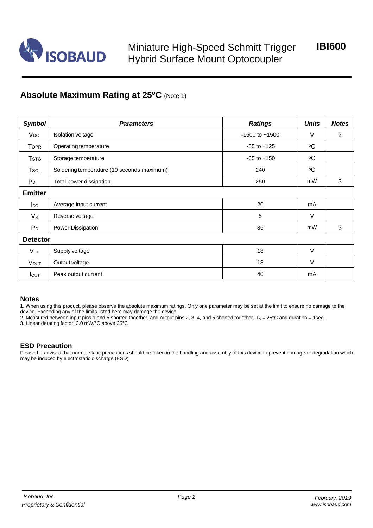

# **Absolute Maximum Rating at 25<sup>o</sup>C** (Note 1)

| <b>Symbol</b>           | <b>Parameters</b>                          | <b>Ratings</b>               | <b>Units</b> | <b>Notes</b> |
|-------------------------|--------------------------------------------|------------------------------|--------------|--------------|
| <b>V<sub>DC</sub></b>   | Isolation voltage                          | $-1500$ to $+1500$           | V            | 2            |
| <b>TOPR</b>             | Operating temperature                      | $-55$ to $+125$              | $\circ$ C    |              |
| <b>T</b> <sub>STG</sub> | Storage temperature                        | $\circ$ C<br>$-65$ to $+150$ |              |              |
| Tsol                    | Soldering temperature (10 seconds maximum) | $\circ$ C<br>240             |              |              |
| $P_D$                   | Total power dissipation                    | 250                          | mW           | 3            |
| <b>Emitter</b>          |                                            |                              |              |              |
| <b>l</b> <sub>DD</sub>  | Average input current                      | 20                           | mA           |              |
| $V_{R}$                 | Reverse voltage                            | 5<br>V                       |              |              |
| $P_D$                   | Power Dissipation                          | 36                           | mW           | 3            |
| <b>Detector</b>         |                                            |                              |              |              |
| Vcc                     | Supply voltage                             | $\vee$<br>18                 |              |              |
| <b>VOUT</b>             | Output voltage                             | 18                           | $\vee$       |              |
| <b>I</b> OUT            | Peak output current                        | 40                           | mA           |              |

#### **Notes**

1. When using this product, please observe the absolute maximum ratings. Only one parameter may be set at the limit to ensure no damage to the device. Exceeding any of the limits listed here may damage the device.

2. Measured between input pins 1 and 6 shorted together, and output pins 2, 3, 4, and 5 shorted together.  $T_A = 25^{\circ}$ C and duration = 1sec.

3. Linear derating factor: 3.0 mW/°C above 25°C

#### **ESD Precaution**

Please be advised that normal static precautions should be taken in the handling and assembly of this device to prevent damage or degradation which may be induced by electrostatic discharge (ESD).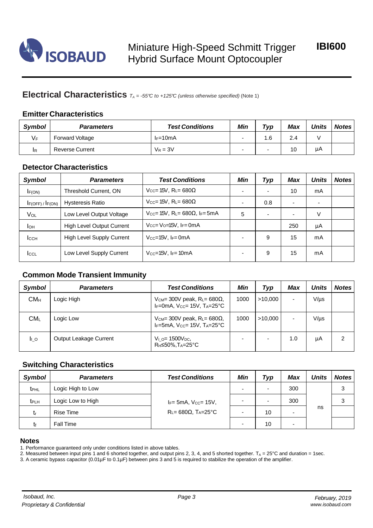

## **Electrical Characteristics** *<sup>T</sup><sup>A</sup> <sup>=</sup> -55°C to +125°C (unless otherwise specified)* (Note 1)

### **Emitter Characteristics**

| Symbol | <b>Parameters</b>      | <b>Test Conditions</b> | Min                      | $\tau_{VD}$              | Max                   | Units | <b>Notes</b> |
|--------|------------------------|------------------------|--------------------------|--------------------------|-----------------------|-------|--------------|
| $V_F$  | <b>Forward Voltage</b> | $I_F=10mA$             | $\overline{\phantom{0}}$ | 6.،                      | $\sim$<br>$\angle .4$ |       |              |
| ΙR     | <b>Reverse Current</b> | $V_R = 3V$             | $\overline{\phantom{0}}$ | $\overline{\phantom{a}}$ |                       | μA    |              |

### **Detector Characteristics**

| Symbol                     | <b>Parameters</b>                | <b>Test Conditions</b>                                  | Min | Typ                      | Max | <b>Units</b> | <b>Notes</b> |
|----------------------------|----------------------------------|---------------------------------------------------------|-----|--------------------------|-----|--------------|--------------|
| F(ON)                      | Threshold Current, ON            | $V_{CC}$ = 15V, R <sub>L</sub> = 680 $\Omega$           |     | ٠                        | 10  | mA           |              |
| $I_{F(OFF)}$ / $I_{F(ON)}$ | <b>Hysteresis Ratio</b>          | $V_{CC}$ = 15V, R <sub>L</sub> = 680 $\Omega$           |     | 0.8                      |     |              |              |
| VOL                        | Low Level Output Voltage         | $V_{CC}$ = 15V, R <sub>L</sub> = 680 $\Omega$ , IF= 5mA | 5   | $\overline{\phantom{0}}$ |     | V            |              |
| Iон                        | <b>High Level Output Current</b> | $V_{CC} = V_{Q} = 15V$ , $I_F = 0 \text{mA}$            |     |                          | 250 | μA           |              |
| <b>I</b> CCH               | <b>High Level Supply Current</b> | $V_{CC} = 15V$ , $I_F = 0mA$                            |     | 9                        | 15  | mA           |              |
| <b>I</b> CCL               | Low Level Supply Current         | $V_{CC}$ =15V, I <sub>F</sub> =10mA                     |     | 9                        | 15  | mA           |              |

### **Common Mode Transient Immunity**

| <b>Symbol</b>   | <b>Parameters</b>      | <b>Test Conditions</b>                                                                                | Min  | Typ                      | <b>Max</b> | <b>Units</b> | <b>Notes</b> |
|-----------------|------------------------|-------------------------------------------------------------------------------------------------------|------|--------------------------|------------|--------------|--------------|
| CM <sub>H</sub> | Logic High             | $V_{CM}$ = 300V peak, R <sub>L</sub> = 680 $\Omega$ ,<br>$I_F=0$ mA, $V_{CC}=15V$ , $T_A=25^{\circ}C$ | 1000 | >10.000                  |            | $V/\mu s$    |              |
| CM <sub>L</sub> | Logic Low              | V <sub>CM</sub> = 300V peak, $R_L$ = 680 $\Omega$ ,<br>IF=5mA, $V_{CC}$ = 15V, $T_A$ =25°C            | 1000 | >10.000                  |            | $V/\mu s$    |              |
| lı o            | Output Leakage Current | $V_{1 O} = 1500 V_{DC}$<br>R <sub>H</sub> ≤50%, T <sub>A</sub> =25°C                                  |      | $\overline{\phantom{0}}$ | 1.0        | μA           | 2            |

### **Switching Characteristics**

| <b>Symbol</b>           | <b>Parameters</b> | <b>Test Conditions</b>                                                      | Min | Typ                      | <b>Max</b> | <b>Units</b> | <b>Notes</b> |
|-------------------------|-------------------|-----------------------------------------------------------------------------|-----|--------------------------|------------|--------------|--------------|
| <b>t</b> <sub>PHL</sub> | Logic High to Low | $I_F$ = 5mA, $V_{CC}$ = 15V,<br>$R_{L} = 680\Omega$ , $T_{A} = 25^{\circ}C$ |     | $\overline{\phantom{0}}$ | 300        |              | 3            |
| t <sub>PLH</sub>        | Logic Low to High |                                                                             |     | $\overline{\phantom{0}}$ | 300        |              | 3            |
| L۳                      | Rise Time         |                                                                             |     | 10                       | -          | ns           |              |
| tք                      | <b>Fall Time</b>  |                                                                             | -   | 10                       | -          |              |              |

#### **Notes**

1. Performance guaranteed only under conditions listed in above tables.

2. Measured between input pins 1 and 6 shorted together, and output pins 2, 3, 4, and 5 shorted together.  $T_A = 25^{\circ}$ C and duration = 1sec.

3. A ceramic bypass capacitor (0.01µF to 0.1µF) between pins 3 and 5 is required to stabilize the operation of the amplifier.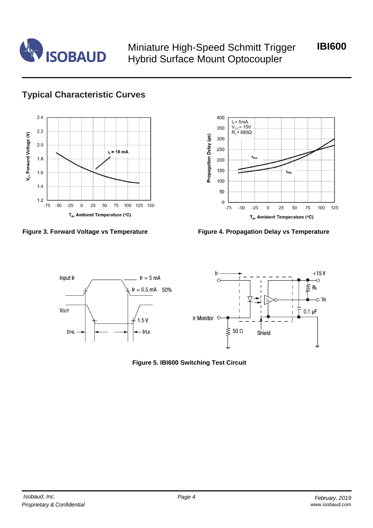

Miniature High-Speed Schmitt Trigger Hybrid Surface Mount Optocoupler

**IBI600**

# **Typical Characteristic Curves**







**Figure 3. Forward Voltage vs Temperature Figure 4. Propagation Delay vs Temperature**



**Figure 5. IBI600 Switching Test Circuit**